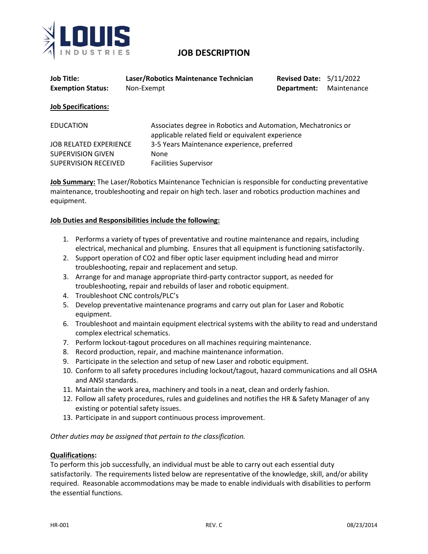

# **JOB DESCRIPTION**

| <b>Job Title:</b><br><b>Exemption Status:</b> | Laser/Robotics Maintenance Technician<br>Non-Exempt | <b>Revised Date: 5/11/2022</b><br>Department:                                                                      | Maintenance |  |
|-----------------------------------------------|-----------------------------------------------------|--------------------------------------------------------------------------------------------------------------------|-------------|--|
| <b>Job Specifications:</b>                    |                                                     |                                                                                                                    |             |  |
| <b>EDUCATION</b>                              |                                                     | Associates degree in Robotics and Automation, Mechatronics or<br>applicable related field or equivalent experience |             |  |
| <b>JOB RELATED EXPERIENCE</b>                 | 3-5 Years Maintenance experience, preferred         |                                                                                                                    |             |  |
| <b>SUPERVISION GIVEN</b>                      | <b>None</b>                                         |                                                                                                                    |             |  |
| <b>SUPERVISION RECEIVED</b>                   | <b>Facilities Supervisor</b>                        |                                                                                                                    |             |  |

**Job Summary:** The Laser/Robotics Maintenance Technician is responsible for conducting preventative maintenance, troubleshooting and repair on high tech. laser and robotics production machines and equipment.

### **Job Duties and Responsibilities include the following:**

- 1. Performs a variety of types of preventative and routine maintenance and repairs, including electrical, mechanical and plumbing. Ensures that all equipment is functioning satisfactorily.
- 2. Support operation of CO2 and fiber optic laser equipment including head and mirror troubleshooting, repair and replacement and setup.
- 3. Arrange for and manage appropriate third-party contractor support, as needed for troubleshooting, repair and rebuilds of laser and robotic equipment.
- 4. Troubleshoot CNC controls/PLC's
- 5. Develop preventative maintenance programs and carry out plan for Laser and Robotic equipment.
- 6. Troubleshoot and maintain equipment electrical systems with the ability to read and understand complex electrical schematics.
- 7. Perform lockout-tagout procedures on all machines requiring maintenance.
- 8. Record production, repair, and machine maintenance information.
- 9. Participate in the selection and setup of new Laser and robotic equipment.
- 10. Conform to all safety procedures including lockout/tagout, hazard communications and all OSHA and ANSI standards.
- 11. Maintain the work area, machinery and tools in a neat, clean and orderly fashion.
- 12. Follow all safety procedures, rules and guidelines and notifies the HR & Safety Manager of any existing or potential safety issues.
- 13. Participate in and support continuous process improvement.

*Other duties may be assigned that pertain to the classification.* 

#### **Qualifications:**

To perform this job successfully, an individual must be able to carry out each essential duty satisfactorily. The requirements listed below are representative of the knowledge, skill, and/or ability required. Reasonable accommodations may be made to enable individuals with disabilities to perform the essential functions.